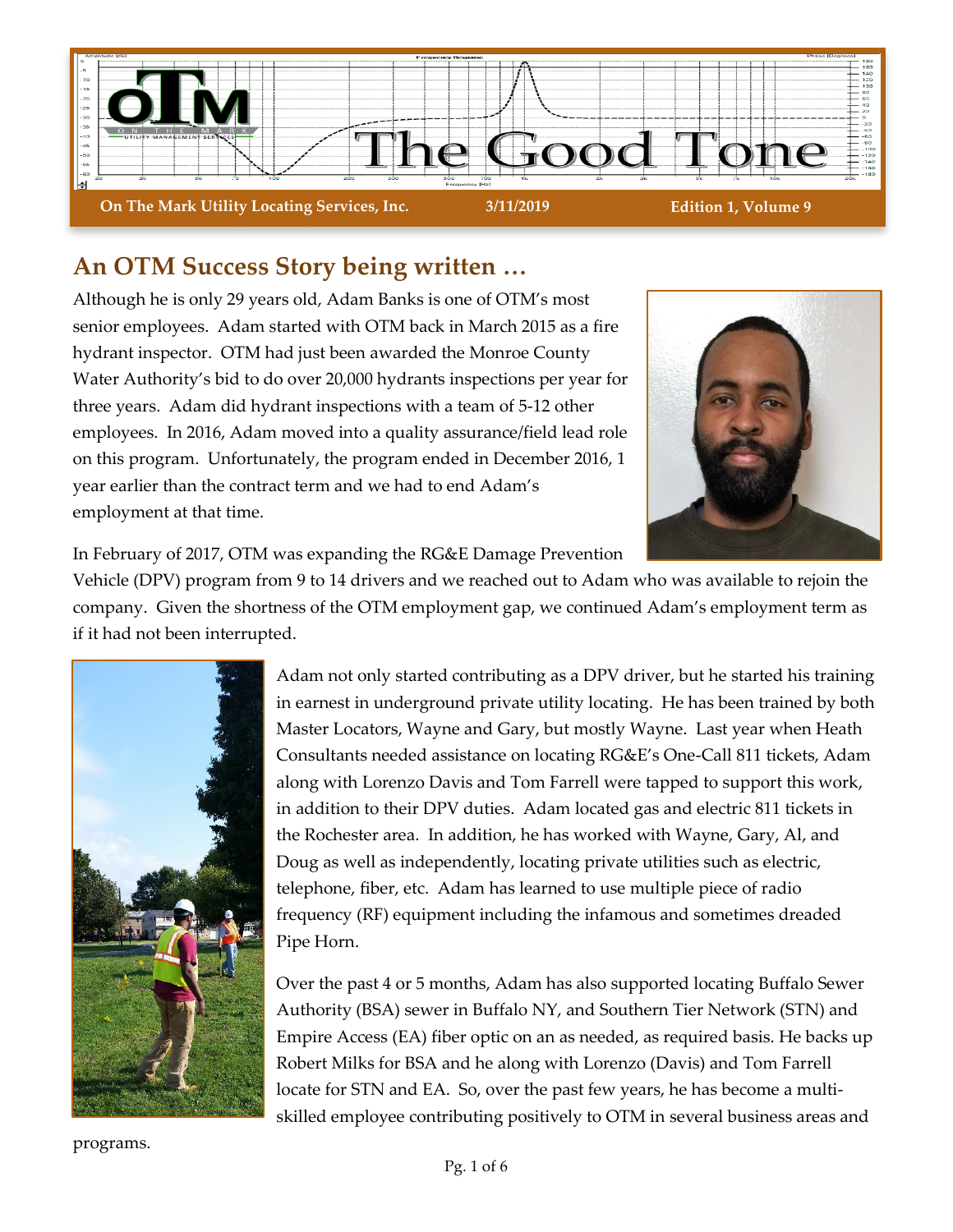

## **An OTM Success Story being written …**

Although he is only 29 years old, Adam Banks is one of OTM's most senior employees. Adam started with OTM back in March 2015 as a fire hydrant inspector. OTM had just been awarded the Monroe County Water Authority's bid to do over 20,000 hydrants inspections per year for three years. Adam did hydrant inspections with a team of 5-12 other employees. In 2016, Adam moved into a quality assurance/field lead role on this program. Unfortunately, the program ended in December 2016, 1 year earlier than the contract term and we had to end Adam's employment at that time.



In February of 2017, OTM was expanding the RG&E Damage Prevention

Vehicle (DPV) program from 9 to 14 drivers and we reached out to Adam who was available to rejoin the company. Given the shortness of the OTM employment gap, we continued Adam's employment term as if it had not been interrupted.



Adam not only started contributing as a DPV driver, but he started his training in earnest in underground private utility locating. He has been trained by both Master Locators, Wayne and Gary, but mostly Wayne. Last year when Heath Consultants needed assistance on locating RG&E's One-Call 811 tickets, Adam along with Lorenzo Davis and Tom Farrell were tapped to support this work, in addition to their DPV duties. Adam located gas and electric 811 tickets in the Rochester area. In addition, he has worked with Wayne, Gary, Al, and Doug as well as independently, locating private utilities such as electric, telephone, fiber, etc. Adam has learned to use multiple piece of radio frequency (RF) equipment including the infamous and sometimes dreaded Pipe Horn.

Over the past 4 or 5 months, Adam has also supported locating Buffalo Sewer Authority (BSA) sewer in Buffalo NY, and Southern Tier Network (STN) and Empire Access (EA) fiber optic on an as needed, as required basis. He backs up Robert Milks for BSA and he along with Lorenzo (Davis) and Tom Farrell locate for STN and EA. So, over the past few years, he has become a multiskilled employee contributing positively to OTM in several business areas and

programs.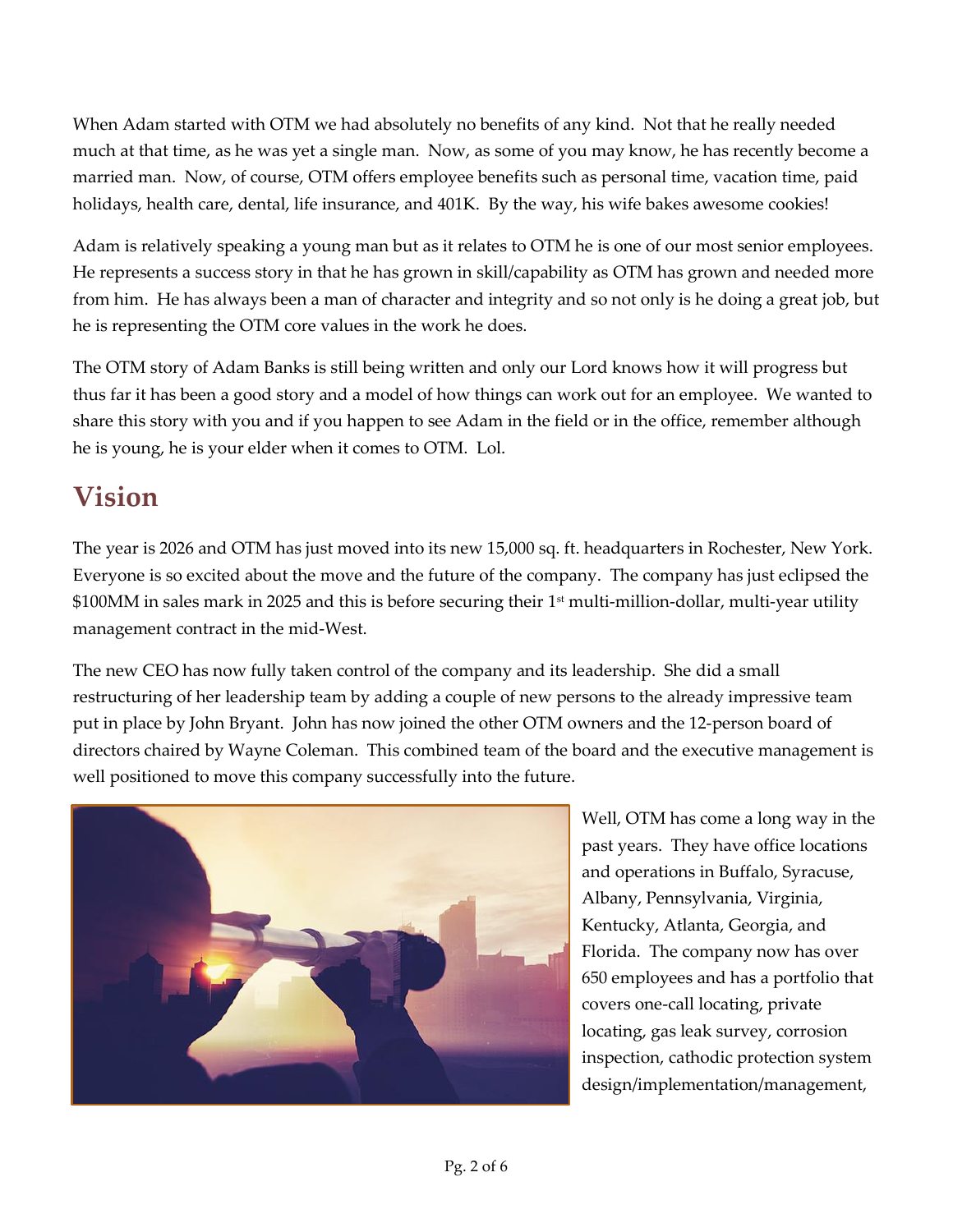When Adam started with OTM we had absolutely no benefits of any kind. Not that he really needed much at that time, as he was yet a single man. Now, as some of you may know, he has recently become a married man. Now, of course, OTM offers employee benefits such as personal time, vacation time, paid holidays, health care, dental, life insurance, and 401K. By the way, his wife bakes awesome cookies!

Adam is relatively speaking a young man but as it relates to OTM he is one of our most senior employees. He represents a success story in that he has grown in skill/capability as OTM has grown and needed more from him. He has always been a man of character and integrity and so not only is he doing a great job, but he is representing the OTM core values in the work he does.

The OTM story of Adam Banks is still being written and only our Lord knows how it will progress but thus far it has been a good story and a model of how things can work out for an employee. We wanted to share this story with you and if you happen to see Adam in the field or in the office, remember although he is young, he is your elder when it comes to OTM. Lol.

# **Vision**

The year is 2026 and OTM has just moved into its new 15,000 sq. ft. headquarters in Rochester, New York. Everyone is so excited about the move and the future of the company. The company has just eclipsed the \$100MM in sales mark in 2025 and this is before securing their 1<sup>st</sup> multi-million-dollar, multi-year utility management contract in the mid-West.

The new CEO has now fully taken control of the company and its leadership. She did a small restructuring of her leadership team by adding a couple of new persons to the already impressive team put in place by John Bryant. John has now joined the other OTM owners and the 12-person board of directors chaired by Wayne Coleman. This combined team of the board and the executive management is well positioned to move this company successfully into the future.



Well, OTM has come a long way in the past years. They have office locations and operations in Buffalo, Syracuse, Albany, Pennsylvania, Virginia, Kentucky, Atlanta, Georgia, and Florida. The company now has over 650 employees and has a portfolio that covers one-call locating, private locating, gas leak survey, corrosion inspection, cathodic protection system design/implementation/management,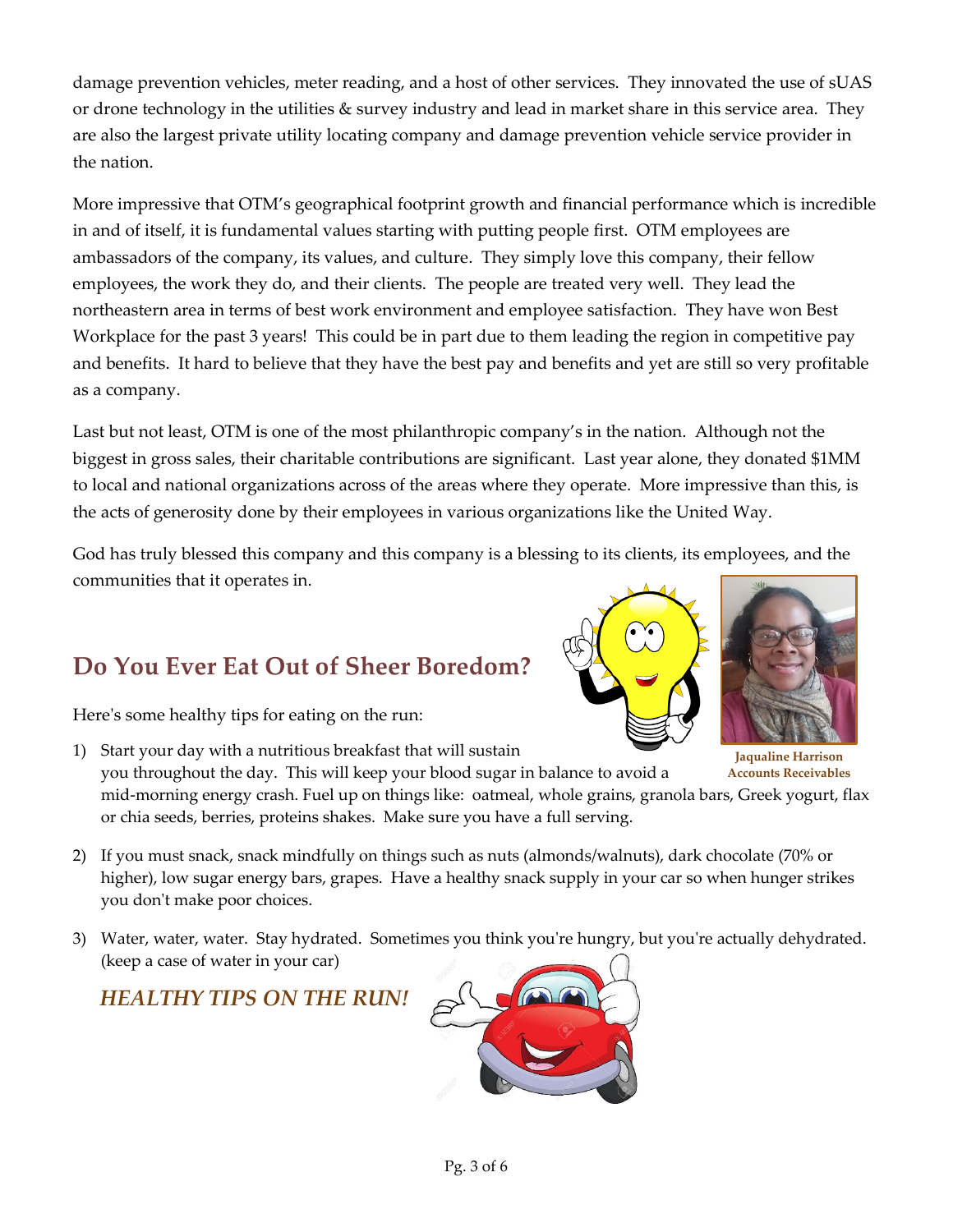damage prevention vehicles, meter reading, and a host of other services. They innovated the use of sUAS or drone technology in the utilities & survey industry and lead in market share in this service area. They are also the largest private utility locating company and damage prevention vehicle service provider in the nation.

More impressive that OTM's geographical footprint growth and financial performance which is incredible in and of itself, it is fundamental values starting with putting people first. OTM employees are ambassadors of the company, its values, and culture. They simply love this company, their fellow employees, the work they do, and their clients. The people are treated very well. They lead the northeastern area in terms of best work environment and employee satisfaction. They have won Best Workplace for the past 3 years! This could be in part due to them leading the region in competitive pay and benefits. It hard to believe that they have the best pay and benefits and yet are still so very profitable as a company.

Last but not least, OTM is one of the most philanthropic company's in the nation. Although not the biggest in gross sales, their charitable contributions are significant. Last year alone, they donated \$1MM to local and national organizations across of the areas where they operate. More impressive than this, is the acts of generosity done by their employees in various organizations like the United Way.

God has truly blessed this company and this company is a blessing to its clients, its employees, and the communities that it operates in.

# **Do You Ever Eat Out of Sheer Boredom?**

Here's some healthy tips for eating on the run:

- 1) Start your day with a nutritious breakfast that will sustain you throughout the day. This will keep your blood sugar in balance to avoid a mid-morning energy crash. Fuel up on things like: oatmeal, whole grains, granola bars, Greek yogurt, flax or chia seeds, berries, proteins shakes. Make sure you have a full serving. **Jaqualine Harrison Accounts Receivables**
- 2) If you must snack, snack mindfully on things such as nuts (almonds/walnuts), dark chocolate (70% or higher), low sugar energy bars, grapes. Have a healthy snack supply in your car so when hunger strikes you don't make poor choices.
- 3) Water, water, water. Stay hydrated. Sometimes you think you're hungry, but you're actually dehydrated. (keep a case of water in your car)

## *HEALTHY TIPS ON THE RUN!*





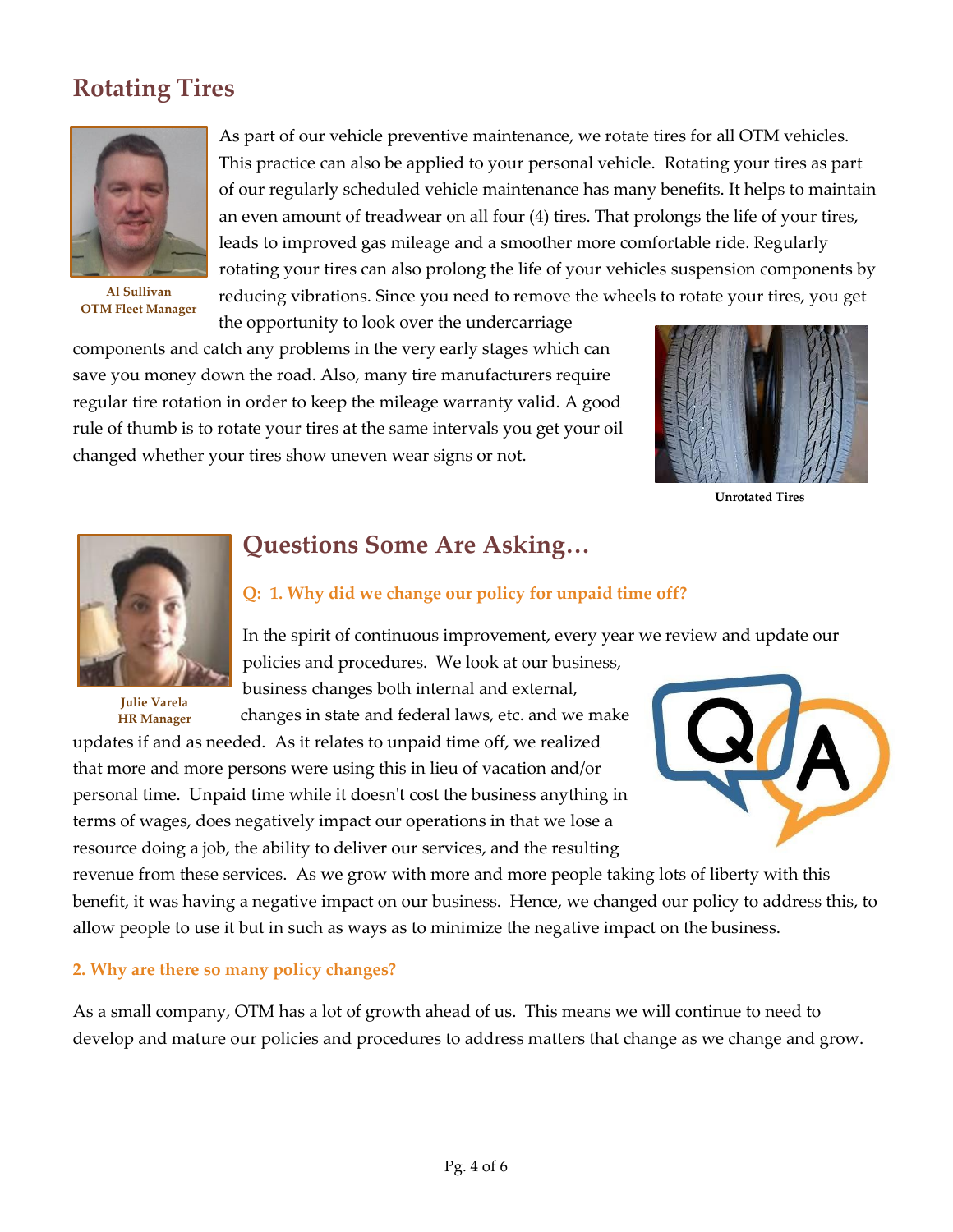## **Rotating Tires**



**Al Sullivan OTM Fleet Manager**

As part of our vehicle preventive maintenance, we rotate tires for all OTM vehicles. This practice can also be applied to your personal vehicle. Rotating your tires as part of our regularly scheduled vehicle maintenance has many benefits. It helps to maintain an even amount of treadwear on all four (4) tires. That prolongs the life of your tires, leads to improved gas mileage and a smoother more comfortable ride. Regularly rotating your tires can also prolong the life of your vehicles suspension components by reducing vibrations. Since you need to remove the wheels to rotate your tires, you get the opportunity to look over the undercarriage

components and catch any problems in the very early stages which can save you money down the road. Also, many tire manufacturers require regular tire rotation in order to keep the mileage warranty valid. A good rule of thumb is to rotate your tires at the same intervals you get your oil changed whether your tires show uneven wear signs or not.



**Unrotated Tires**



**Julie Varela HR Manager**

## **Questions Some Are Asking…**

## **Q: 1. Why did we change our policy for unpaid time off?**

In the spirit of continuous improvement, every year we review and update our policies and procedures. We look at our business,

business changes both internal and external, changes in state and federal laws, etc. and we make

updates if and as needed. As it relates to unpaid time off, we realized that more and more persons were using this in lieu of vacation and/or personal time. Unpaid time while it doesn't cost the business anything in terms of wages, does negatively impact our operations in that we lose a resource doing a job, the ability to deliver our services, and the resulting



revenue from these services. As we grow with more and more people taking lots of liberty with this benefit, it was having a negative impact on our business. Hence, we changed our policy to address this, to allow people to use it but in such as ways as to minimize the negative impact on the business.

## **2. Why are there so many policy changes?**

As a small company, OTM has a lot of growth ahead of us. This means we will continue to need to develop and mature our policies and procedures to address matters that change as we change and grow.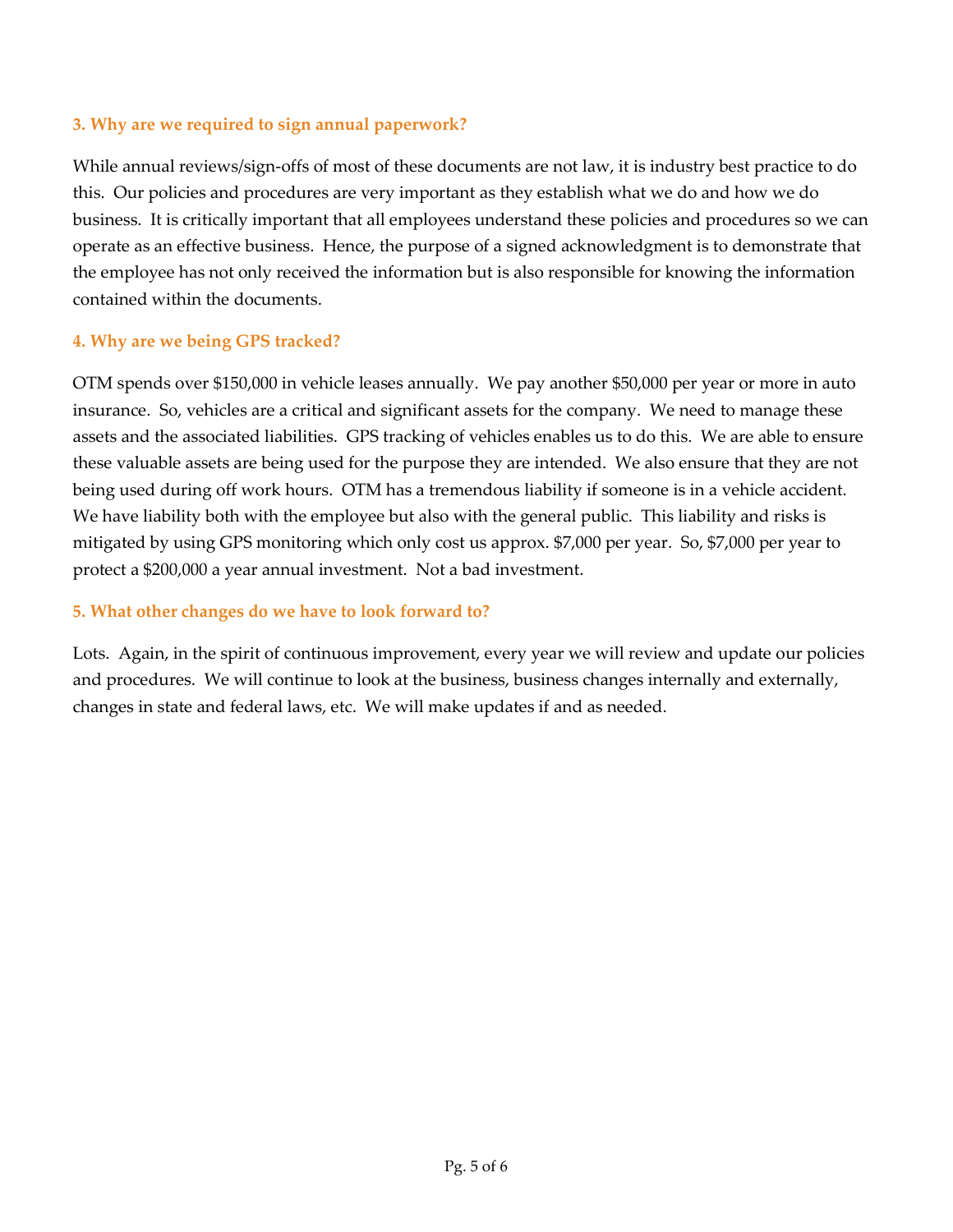#### **3. Why are we required to sign annual paperwork?**

While annual reviews/sign-offs of most of these documents are not law, it is industry best practice to do this. Our policies and procedures are very important as they establish what we do and how we do business. It is critically important that all employees understand these policies and procedures so we can operate as an effective business. Hence, the purpose of a signed acknowledgment is to demonstrate that the employee has not only received the information but is also responsible for knowing the information contained within the documents.

#### **4. Why are we being GPS tracked?**

OTM spends over \$150,000 in vehicle leases annually. We pay another \$50,000 per year or more in auto insurance. So, vehicles are a critical and significant assets for the company. We need to manage these assets and the associated liabilities. GPS tracking of vehicles enables us to do this. We are able to ensure these valuable assets are being used for the purpose they are intended. We also ensure that they are not being used during off work hours. OTM has a tremendous liability if someone is in a vehicle accident. We have liability both with the employee but also with the general public. This liability and risks is mitigated by using GPS monitoring which only cost us approx. \$7,000 per year. So, \$7,000 per year to protect a \$200,000 a year annual investment. Not a bad investment.

#### **5. What other changes do we have to look forward to?**

Lots. Again, in the spirit of continuous improvement, every year we will review and update our policies and procedures. We will continue to look at the business, business changes internally and externally, changes in state and federal laws, etc. We will make updates if and as needed.